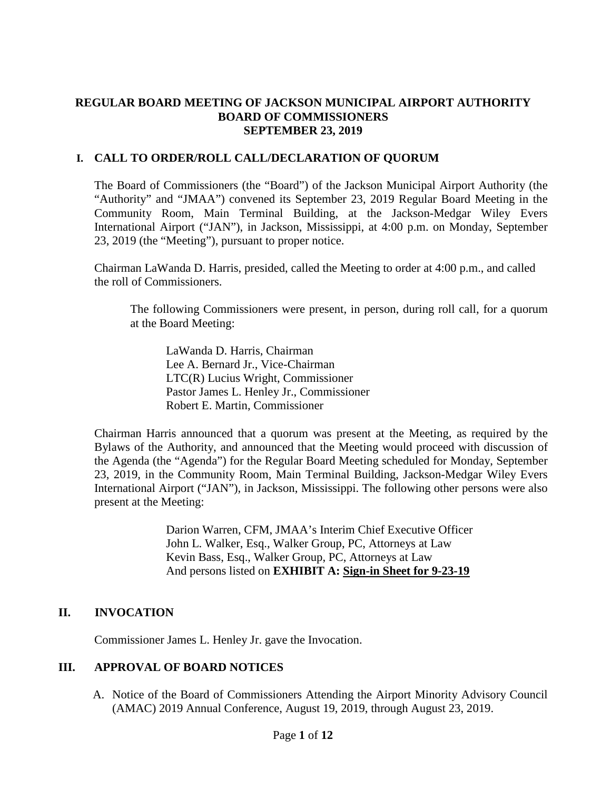### **REGULAR BOARD MEETING OF JACKSON MUNICIPAL AIRPORT AUTHORITY BOARD OF COMMISSIONERS SEPTEMBER 23, 2019**

### **I. CALL TO ORDER/ROLL CALL/DECLARATION OF QUORUM**

The Board of Commissioners (the "Board") of the Jackson Municipal Airport Authority (the "Authority" and "JMAA") convened its September 23, 2019 Regular Board Meeting in the Community Room, Main Terminal Building, at the Jackson-Medgar Wiley Evers International Airport ("JAN"), in Jackson, Mississippi, at 4:00 p.m. on Monday, September 23, 2019 (the "Meeting"), pursuant to proper notice.

Chairman LaWanda D. Harris, presided, called the Meeting to order at 4:00 p.m., and called the roll of Commissioners.

The following Commissioners were present, in person, during roll call, for a quorum at the Board Meeting:

LaWanda D. Harris, Chairman Lee A. Bernard Jr., Vice-Chairman LTC(R) Lucius Wright, Commissioner Pastor James L. Henley Jr., Commissioner Robert E. Martin, Commissioner

Chairman Harris announced that a quorum was present at the Meeting, as required by the Bylaws of the Authority, and announced that the Meeting would proceed with discussion of the Agenda (the "Agenda") for the Regular Board Meeting scheduled for Monday, September 23, 2019, in the Community Room, Main Terminal Building, Jackson-Medgar Wiley Evers International Airport ("JAN"), in Jackson, Mississippi. The following other persons were also present at the Meeting:

> Darion Warren, CFM, JMAA's Interim Chief Executive Officer John L. Walker, Esq., Walker Group, PC, Attorneys at Law Kevin Bass, Esq., Walker Group, PC, Attorneys at Law And persons listed on **EXHIBIT A: Sign-in Sheet for 9-23-19**

# **II. INVOCATION**

Commissioner James L. Henley Jr. gave the Invocation.

### **III. APPROVAL OF BOARD NOTICES**

A. Notice of the Board of Commissioners Attending the Airport Minority Advisory Council (AMAC) 2019 Annual Conference, August 19, 2019, through August 23, 2019.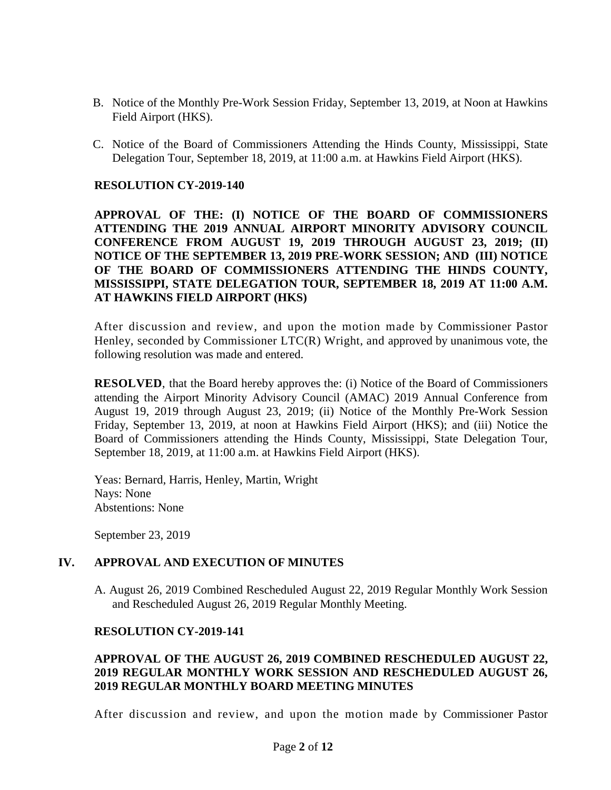- B. Notice of the Monthly Pre-Work Session Friday, September 13, 2019, at Noon at Hawkins Field Airport (HKS).
- C. Notice of the Board of Commissioners Attending the Hinds County, Mississippi, State Delegation Tour, September 18, 2019, at 11:00 a.m. at Hawkins Field Airport (HKS).

#### **RESOLUTION CY-2019-140**

**APPROVAL OF THE: (I) NOTICE OF THE BOARD OF COMMISSIONERS ATTENDING THE 2019 ANNUAL AIRPORT MINORITY ADVISORY COUNCIL CONFERENCE FROM AUGUST 19, 2019 THROUGH AUGUST 23, 2019; (II) NOTICE OF THE SEPTEMBER 13, 2019 PRE-WORK SESSION; AND (III) NOTICE OF THE BOARD OF COMMISSIONERS ATTENDING THE HINDS COUNTY, MISSISSIPPI, STATE DELEGATION TOUR, SEPTEMBER 18, 2019 AT 11:00 A.M. AT HAWKINS FIELD AIRPORT (HKS)**

After discussion and review, and upon the motion made by Commissioner Pastor Henley, seconded by Commissioner LTC(R) Wright, and approved by unanimous vote, the following resolution was made and entered.

**RESOLVED**, that the Board hereby approves the: (i) Notice of the Board of Commissioners attending the Airport Minority Advisory Council (AMAC) 2019 Annual Conference from August 19, 2019 through August 23, 2019; (ii) Notice of the Monthly Pre-Work Session Friday, September 13, 2019, at noon at Hawkins Field Airport (HKS); and (iii) Notice the Board of Commissioners attending the Hinds County, Mississippi, State Delegation Tour, September 18, 2019, at 11:00 a.m. at Hawkins Field Airport (HKS).

Yeas: Bernard, Harris, Henley, Martin, Wright Nays: None Abstentions: None

September 23, 2019

### **IV. APPROVAL AND EXECUTION OF MINUTES**

A. August 26, 2019 Combined Rescheduled August 22, 2019 Regular Monthly Work Session and Rescheduled August 26, 2019 Regular Monthly Meeting.

#### **RESOLUTION CY-2019-141**

### **APPROVAL OF THE AUGUST 26, 2019 COMBINED RESCHEDULED AUGUST 22, 2019 REGULAR MONTHLY WORK SESSION AND RESCHEDULED AUGUST 26, 2019 REGULAR MONTHLY BOARD MEETING MINUTES**

After discussion and review, and upon the motion made by Commissioner Pastor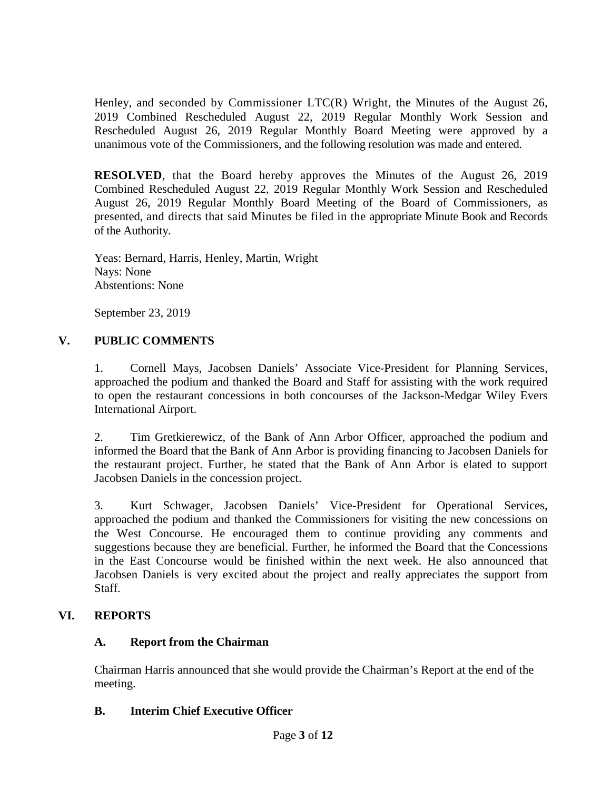Henley, and seconded by Commissioner  $LTC(R)$  Wright, the Minutes of the August 26, 2019 Combined Rescheduled August 22, 2019 Regular Monthly Work Session and Rescheduled August 26, 2019 Regular Monthly Board Meeting were approved by a unanimous vote of the Commissioners, and the following resolution was made and entered.

**RESOLVED**, that the Board hereby approves the Minutes of the August 26, 2019 Combined Rescheduled August 22, 2019 Regular Monthly Work Session and Rescheduled August 26, 2019 Regular Monthly Board Meeting of the Board of Commissioners, as presented, and directs that said Minutes be filed in the appropriate Minute Book and Records of the Authority.

Yeas: Bernard, Harris, Henley, Martin, Wright Nays: None Abstentions: None

September 23, 2019

# **V. PUBLIC COMMENTS**

1. Cornell Mays, Jacobsen Daniels' Associate Vice-President for Planning Services, approached the podium and thanked the Board and Staff for assisting with the work required to open the restaurant concessions in both concourses of the Jackson-Medgar Wiley Evers International Airport.

2. Tim Gretkierewicz, of the Bank of Ann Arbor Officer, approached the podium and informed the Board that the Bank of Ann Arbor is providing financing to Jacobsen Daniels for the restaurant project. Further, he stated that the Bank of Ann Arbor is elated to support Jacobsen Daniels in the concession project.

3. Kurt Schwager, Jacobsen Daniels' Vice-President for Operational Services, approached the podium and thanked the Commissioners for visiting the new concessions on the West Concourse. He encouraged them to continue providing any comments and suggestions because they are beneficial. Further, he informed the Board that the Concessions in the East Concourse would be finished within the next week. He also announced that Jacobsen Daniels is very excited about the project and really appreciates the support from Staff.

# **VI. REPORTS**

# **A. Report from the Chairman**

Chairman Harris announced that she would provide the Chairman's Report at the end of the meeting.

# **B. Interim Chief Executive Officer**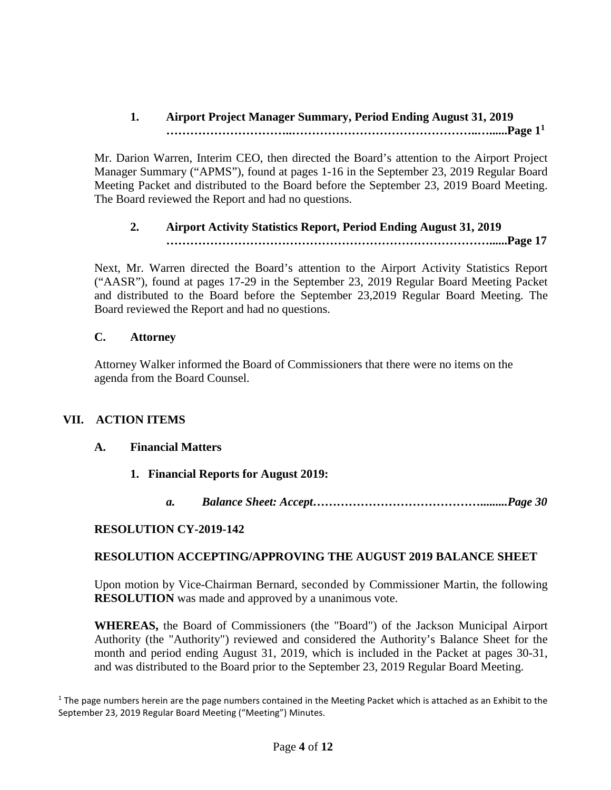# **1. Airport Project Manager Summary, Period Ending August 31, 2019 …………………………..………………………………………..…......Page [1](#page-3-0)<sup>1</sup>**

Mr. Darion Warren, Interim CEO, then directed the Board's attention to the Airport Project Manager Summary ("APMS"), found at pages 1-16 in the September 23, 2019 Regular Board Meeting Packet and distributed to the Board before the September 23, 2019 Board Meeting. The Board reviewed the Report and had no questions.

### **2. Airport Activity Statistics Report, Period Ending August 31, 2019 ………………………………………………………………………......Page 17**

Next, Mr. Warren directed the Board's attention to the Airport Activity Statistics Report ("AASR"), found at pages 17-29 in the September 23, 2019 Regular Board Meeting Packet and distributed to the Board before the September 23,2019 Regular Board Meeting. The Board reviewed the Report and had no questions.

### **C. Attorney**

Attorney Walker informed the Board of Commissioners that there were no items on the agenda from the Board Counsel.

# **VII. ACTION ITEMS**

### **A. Financial Matters**

- **1. Financial Reports for August 2019:**
	- *a. Balance Sheet: Accept…………………………………….........Page 30*

# **RESOLUTION CY-2019-142**

### **RESOLUTION ACCEPTING/APPROVING THE AUGUST 2019 BALANCE SHEET**

Upon motion by Vice-Chairman Bernard, seconded by Commissioner Martin, the following **RESOLUTION** was made and approved by a unanimous vote.

**WHEREAS,** the Board of Commissioners (the "Board") of the Jackson Municipal Airport Authority (the "Authority") reviewed and considered the Authority's Balance Sheet for the month and period ending August 31, 2019, which is included in the Packet at pages 30-31, and was distributed to the Board prior to the September 23, 2019 Regular Board Meeting.

<span id="page-3-0"></span> $1$  The page numbers herein are the page numbers contained in the Meeting Packet which is attached as an Exhibit to the September 23, 2019 Regular Board Meeting ("Meeting") Minutes.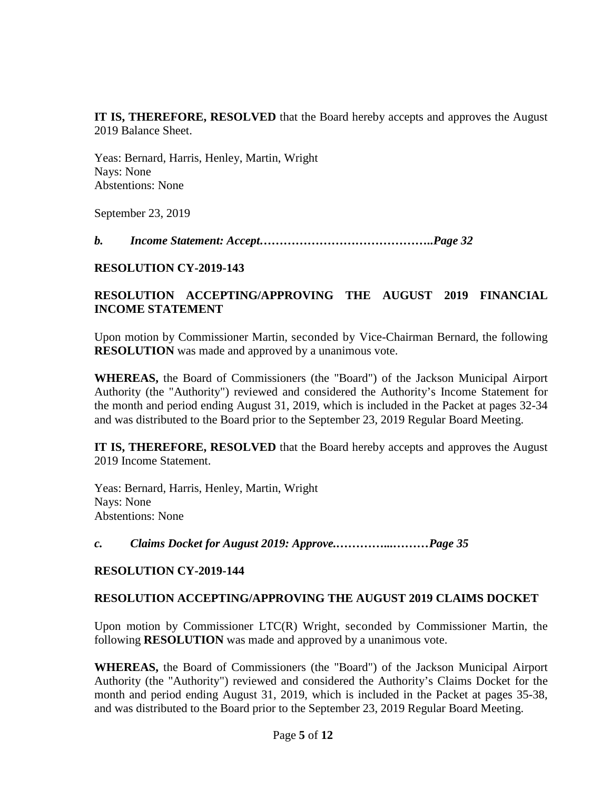**IT IS, THEREFORE, RESOLVED** that the Board hereby accepts and approves the August 2019 Balance Sheet.

Yeas: Bernard, Harris, Henley, Martin, Wright Nays: None Abstentions: None

September 23, 2019

*b. Income Statement: Accept……………………………………..Page 32*

## **RESOLUTION CY-2019-143**

# **RESOLUTION ACCEPTING/APPROVING THE AUGUST 2019 FINANCIAL INCOME STATEMENT**

Upon motion by Commissioner Martin, seconded by Vice-Chairman Bernard, the following **RESOLUTION** was made and approved by a unanimous vote.

**WHEREAS,** the Board of Commissioners (the "Board") of the Jackson Municipal Airport Authority (the "Authority") reviewed and considered the Authority's Income Statement for the month and period ending August 31, 2019, which is included in the Packet at pages 32-34 and was distributed to the Board prior to the September 23, 2019 Regular Board Meeting.

**IT IS, THEREFORE, RESOLVED** that the Board hereby accepts and approves the August 2019 Income Statement.

Yeas: Bernard, Harris, Henley, Martin, Wright Nays: None Abstentions: None

*c. Claims Docket for August 2019: Approve.…………...………Page 35*

### **RESOLUTION CY-2019-144**

### **RESOLUTION ACCEPTING/APPROVING THE AUGUST 2019 CLAIMS DOCKET**

Upon motion by Commissioner LTC(R) Wright, seconded by Commissioner Martin, the following **RESOLUTION** was made and approved by a unanimous vote.

**WHEREAS,** the Board of Commissioners (the "Board") of the Jackson Municipal Airport Authority (the "Authority") reviewed and considered the Authority's Claims Docket for the month and period ending August 31, 2019, which is included in the Packet at pages 35-38, and was distributed to the Board prior to the September 23, 2019 Regular Board Meeting.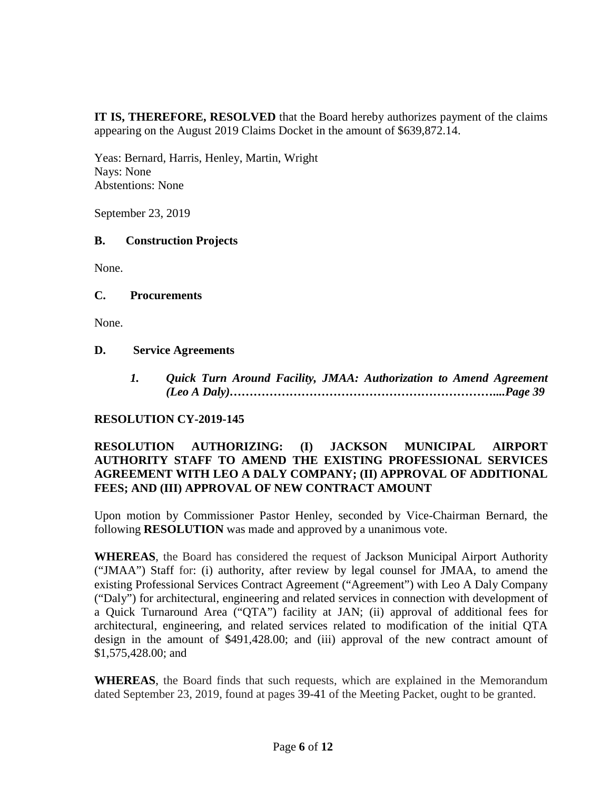**IT IS, THEREFORE, RESOLVED** that the Board hereby authorizes payment of the claims appearing on the August 2019 Claims Docket in the amount of \$639,872.14.

Yeas: Bernard, Harris, Henley, Martin, Wright Nays: None Abstentions: None

September 23, 2019

### **B. Construction Projects**

None.

### **C. Procurements**

None.

#### **D. Service Agreements**

*1. Quick Turn Around Facility, JMAA: Authorization to Amend Agreement (Leo A Daly)…………………………………………………………....Page 39*

### **RESOLUTION CY-2019-145**

### **RESOLUTION AUTHORIZING: (I) JACKSON MUNICIPAL AIRPORT AUTHORITY STAFF TO AMEND THE EXISTING PROFESSIONAL SERVICES AGREEMENT WITH LEO A DALY COMPANY; (II) APPROVAL OF ADDITIONAL FEES; AND (III) APPROVAL OF NEW CONTRACT AMOUNT**

Upon motion by Commissioner Pastor Henley, seconded by Vice-Chairman Bernard, the following **RESOLUTION** was made and approved by a unanimous vote.

**WHEREAS**, the Board has considered the request of Jackson Municipal Airport Authority ("JMAA") Staff for: (i) authority, after review by legal counsel for JMAA, to amend the existing Professional Services Contract Agreement ("Agreement") with Leo A Daly Company ("Daly") for architectural, engineering and related services in connection with development of a Quick Turnaround Area ("QTA") facility at JAN; (ii) approval of additional fees for architectural, engineering, and related services related to modification of the initial QTA design in the amount of \$491,428.00; and (iii) approval of the new contract amount of \$1,575,428.00; and

**WHEREAS**, the Board finds that such requests, which are explained in the Memorandum dated September 23, 2019, found at pages 39-41 of the Meeting Packet, ought to be granted.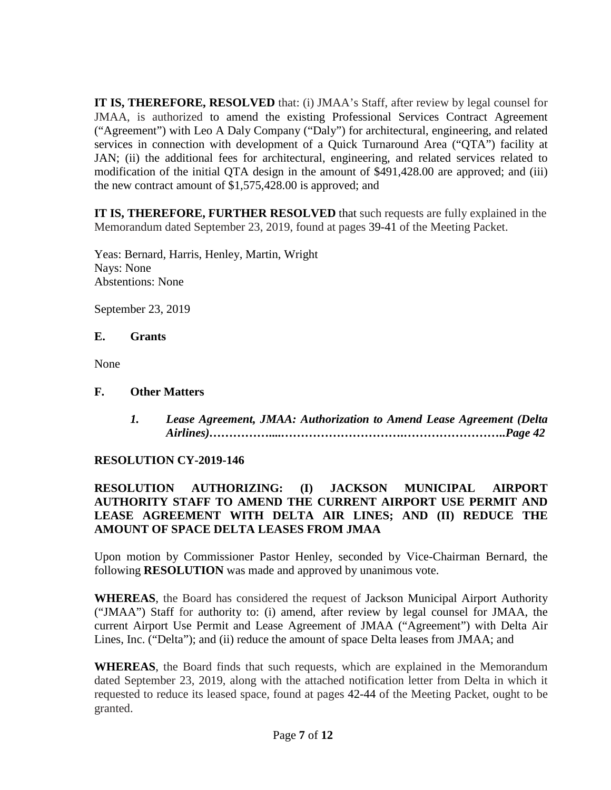**IT IS, THEREFORE, RESOLVED** that: (i) JMAA's Staff, after review by legal counsel for JMAA, is authorized to amend the existing Professional Services Contract Agreement ("Agreement") with Leo A Daly Company ("Daly") for architectural, engineering, and related services in connection with development of a Quick Turnaround Area ("QTA") facility at JAN; (ii) the additional fees for architectural, engineering, and related services related to modification of the initial QTA design in the amount of \$491,428.00 are approved; and (iii) the new contract amount of \$1,575,428.00 is approved; and

**IT IS, THEREFORE, FURTHER RESOLVED** that such requests are fully explained in the Memorandum dated September 23, 2019, found at pages 39-41 of the Meeting Packet.

Yeas: Bernard, Harris, Henley, Martin, Wright Nays: None Abstentions: None

September 23, 2019

## **E. Grants**

None

# **F. Other Matters**

*1. Lease Agreement, JMAA: Authorization to Amend Lease Agreement (Delta Airlines)……………....………………………….……………………..Page 42*

# **RESOLUTION CY-2019-146**

### **RESOLUTION AUTHORIZING: (I) JACKSON MUNICIPAL AIRPORT AUTHORITY STAFF TO AMEND THE CURRENT AIRPORT USE PERMIT AND LEASE AGREEMENT WITH DELTA AIR LINES; AND (II) REDUCE THE AMOUNT OF SPACE DELTA LEASES FROM JMAA**

Upon motion by Commissioner Pastor Henley, seconded by Vice-Chairman Bernard, the following **RESOLUTION** was made and approved by unanimous vote.

**WHEREAS**, the Board has considered the request of Jackson Municipal Airport Authority ("JMAA") Staff for authority to: (i) amend, after review by legal counsel for JMAA, the current Airport Use Permit and Lease Agreement of JMAA ("Agreement") with Delta Air Lines, Inc. ("Delta"); and (ii) reduce the amount of space Delta leases from JMAA; and

**WHEREAS**, the Board finds that such requests, which are explained in the Memorandum dated September 23, 2019, along with the attached notification letter from Delta in which it requested to reduce its leased space, found at pages 42-44 of the Meeting Packet, ought to be granted.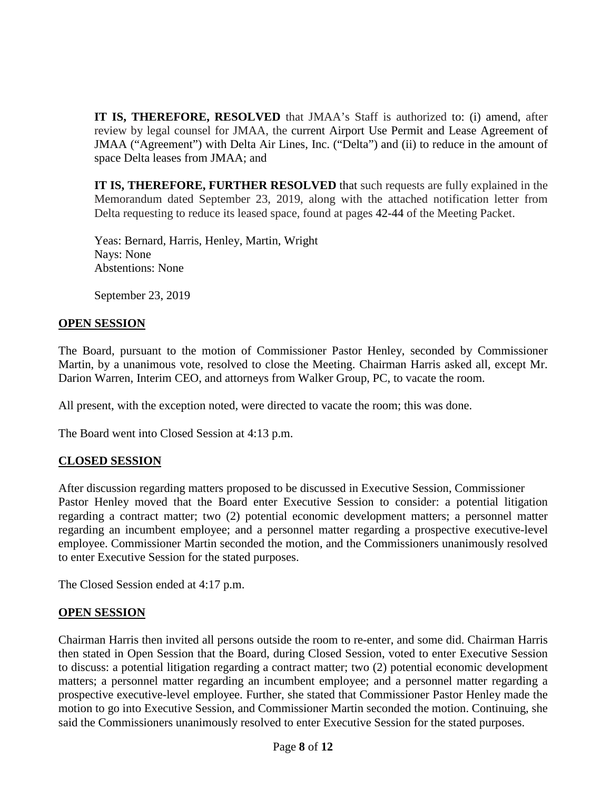**IT IS, THEREFORE, RESOLVED** that JMAA's Staff is authorized to: (i) amend, after review by legal counsel for JMAA, the current Airport Use Permit and Lease Agreement of JMAA ("Agreement") with Delta Air Lines, Inc. ("Delta") and (ii) to reduce in the amount of space Delta leases from JMAA; and

**IT IS, THEREFORE, FURTHER RESOLVED** that such requests are fully explained in the Memorandum dated September 23, 2019, along with the attached notification letter from Delta requesting to reduce its leased space, found at pages 42-44 of the Meeting Packet.

Yeas: Bernard, Harris, Henley, Martin, Wright Nays: None Abstentions: None

September 23, 2019

#### **OPEN SESSION**

The Board, pursuant to the motion of Commissioner Pastor Henley, seconded by Commissioner Martin, by a unanimous vote, resolved to close the Meeting. Chairman Harris asked all, except Mr. Darion Warren, Interim CEO, and attorneys from Walker Group, PC, to vacate the room.

All present, with the exception noted, were directed to vacate the room; this was done.

The Board went into Closed Session at 4:13 p.m.

### **CLOSED SESSION**

After discussion regarding matters proposed to be discussed in Executive Session, Commissioner Pastor Henley moved that the Board enter Executive Session to consider: a potential litigation regarding a contract matter; two (2) potential economic development matters; a personnel matter regarding an incumbent employee; and a personnel matter regarding a prospective executive-level employee. Commissioner Martin seconded the motion, and the Commissioners unanimously resolved to enter Executive Session for the stated purposes.

The Closed Session ended at 4:17 p.m.

### **OPEN SESSION**

Chairman Harris then invited all persons outside the room to re-enter, and some did. Chairman Harris then stated in Open Session that the Board, during Closed Session, voted to enter Executive Session to discuss: a potential litigation regarding a contract matter; two (2) potential economic development matters; a personnel matter regarding an incumbent employee; and a personnel matter regarding a prospective executive-level employee. Further, she stated that Commissioner Pastor Henley made the motion to go into Executive Session, and Commissioner Martin seconded the motion. Continuing, she said the Commissioners unanimously resolved to enter Executive Session for the stated purposes.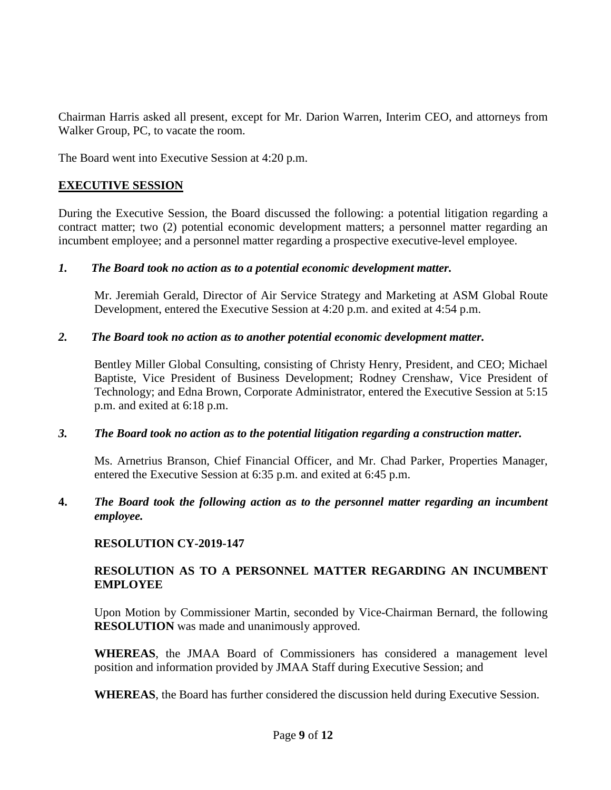Chairman Harris asked all present, except for Mr. Darion Warren, Interim CEO, and attorneys from Walker Group, PC, to vacate the room.

The Board went into Executive Session at 4:20 p.m.

# **EXECUTIVE SESSION**

During the Executive Session, the Board discussed the following: a potential litigation regarding a contract matter; two (2) potential economic development matters; a personnel matter regarding an incumbent employee; and a personnel matter regarding a prospective executive-level employee.

## *1. The Board took no action as to a potential economic development matter.*

Mr. Jeremiah Gerald, Director of Air Service Strategy and Marketing at ASM Global Route Development, entered the Executive Session at 4:20 p.m. and exited at 4:54 p.m.

## *2. The Board took no action as to another potential economic development matter.*

Bentley Miller Global Consulting, consisting of Christy Henry, President, and CEO; Michael Baptiste, Vice President of Business Development; Rodney Crenshaw, Vice President of Technology; and Edna Brown, Corporate Administrator, entered the Executive Session at 5:15 p.m. and exited at 6:18 p.m.

### *3. The Board took no action as to the potential litigation regarding a construction matter.*

Ms. Arnetrius Branson, Chief Financial Officer, and Mr. Chad Parker, Properties Manager, entered the Executive Session at 6:35 p.m. and exited at 6:45 p.m.

## **4.** *The Board took the following action as to the personnel matter regarding an incumbent employee.*

# **RESOLUTION CY-2019-147**

## **RESOLUTION AS TO A PERSONNEL MATTER REGARDING AN INCUMBENT EMPLOYEE**

Upon Motion by Commissioner Martin, seconded by Vice-Chairman Bernard, the following **RESOLUTION** was made and unanimously approved.

**WHEREAS**, the JMAA Board of Commissioners has considered a management level position and information provided by JMAA Staff during Executive Session; and

**WHEREAS**, the Board has further considered the discussion held during Executive Session.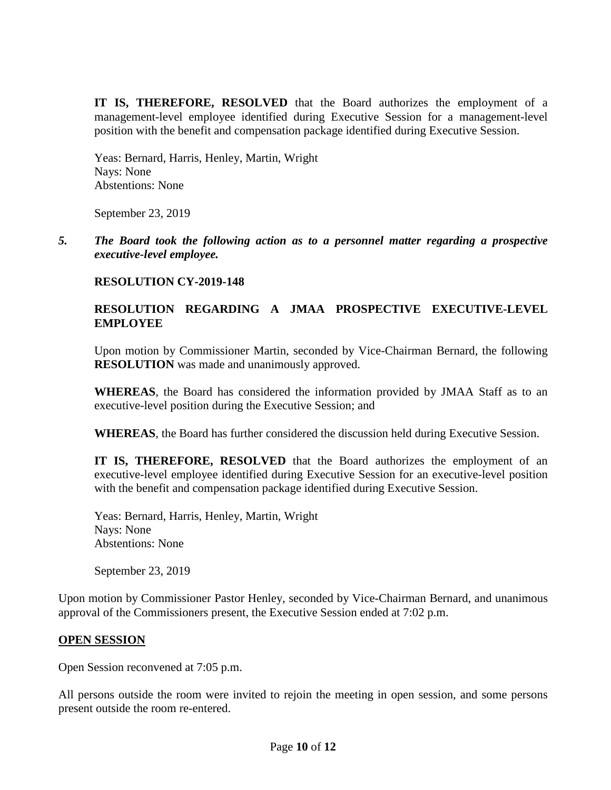**IT IS, THEREFORE, RESOLVED** that the Board authorizes the employment of a management-level employee identified during Executive Session for a management-level position with the benefit and compensation package identified during Executive Session.

Yeas: Bernard, Harris, Henley, Martin, Wright Nays: None Abstentions: None

September 23, 2019

*5. The Board took the following action as to a personnel matter regarding a prospective executive-level employee.*

### **RESOLUTION CY-2019-148**

### **RESOLUTION REGARDING A JMAA PROSPECTIVE EXECUTIVE-LEVEL EMPLOYEE**

Upon motion by Commissioner Martin, seconded by Vice-Chairman Bernard, the following **RESOLUTION** was made and unanimously approved.

**WHEREAS**, the Board has considered the information provided by JMAA Staff as to an executive-level position during the Executive Session; and

**WHEREAS**, the Board has further considered the discussion held during Executive Session.

**IT IS, THEREFORE, RESOLVED** that the Board authorizes the employment of an executive-level employee identified during Executive Session for an executive-level position with the benefit and compensation package identified during Executive Session.

Yeas: Bernard, Harris, Henley, Martin, Wright Nays: None Abstentions: None

September 23, 2019

Upon motion by Commissioner Pastor Henley, seconded by Vice-Chairman Bernard, and unanimous approval of the Commissioners present, the Executive Session ended at 7:02 p.m.

### **OPEN SESSION**

Open Session reconvened at 7:05 p.m.

All persons outside the room were invited to rejoin the meeting in open session, and some persons present outside the room re-entered.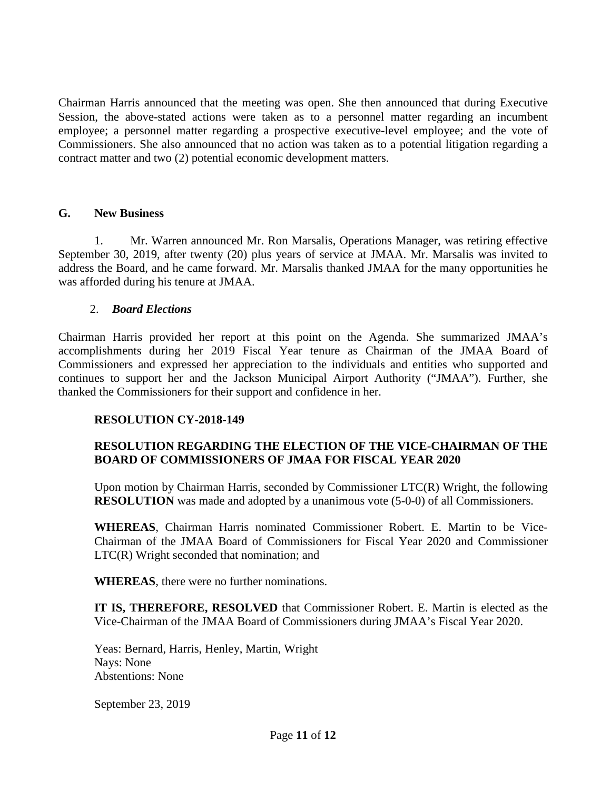Chairman Harris announced that the meeting was open. She then announced that during Executive Session, the above-stated actions were taken as to a personnel matter regarding an incumbent employee; a personnel matter regarding a prospective executive-level employee; and the vote of Commissioners. She also announced that no action was taken as to a potential litigation regarding a contract matter and two (2) potential economic development matters.

#### **G. New Business**

1. Mr. Warren announced Mr. Ron Marsalis, Operations Manager, was retiring effective September 30, 2019, after twenty (20) plus years of service at JMAA. Mr. Marsalis was invited to address the Board, and he came forward. Mr. Marsalis thanked JMAA for the many opportunities he was afforded during his tenure at JMAA.

#### 2. *Board Elections*

Chairman Harris provided her report at this point on the Agenda. She summarized JMAA's accomplishments during her 2019 Fiscal Year tenure as Chairman of the JMAA Board of Commissioners and expressed her appreciation to the individuals and entities who supported and continues to support her and the Jackson Municipal Airport Authority ("JMAA"). Further, she thanked the Commissioners for their support and confidence in her.

### **RESOLUTION CY-2018-149**

## **RESOLUTION REGARDING THE ELECTION OF THE VICE-CHAIRMAN OF THE BOARD OF COMMISSIONERS OF JMAA FOR FISCAL YEAR 2020**

Upon motion by Chairman Harris, seconded by Commissioner LTC(R) Wright, the following **RESOLUTION** was made and adopted by a unanimous vote (5-0-0) of all Commissioners.

**WHEREAS**, Chairman Harris nominated Commissioner Robert. E. Martin to be Vice-Chairman of the JMAA Board of Commissioners for Fiscal Year 2020 and Commissioner LTC(R) Wright seconded that nomination; and

**WHEREAS**, there were no further nominations.

**IT IS, THEREFORE, RESOLVED** that Commissioner Robert. E. Martin is elected as the Vice-Chairman of the JMAA Board of Commissioners during JMAA's Fiscal Year 2020.

Yeas: Bernard, Harris, Henley, Martin, Wright Nays: None Abstentions: None

September 23, 2019